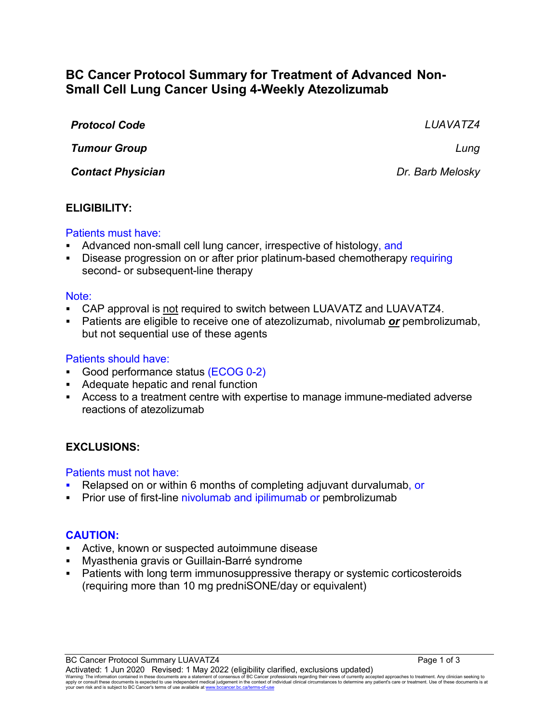# **BC Cancer Protocol Summary for Treatment of Advanced Non-Small Cell Lung Cancer Using 4-Weekly Atezolizumab**

| <b>Protocol Code</b>     | LUAVATZ4         |
|--------------------------|------------------|
| <b>Tumour Group</b>      | Lung             |
| <b>Contact Physician</b> | Dr. Barb Melosky |

### **ELIGIBILITY:**

#### Patients must have:

- Advanced non-small cell lung cancer, irrespective of histology, and
- Disease progression on or after prior platinum-based chemotherapy requiring second- or subsequent-line therapy

#### Note:

- CAP approval is not required to switch between LUAVATZ and LUAVATZ4.
- Patients are eligible to receive one of atezolizumab, nivolumab *or* pembrolizumab, but not sequential use of these agents

#### Patients should have:

- Good performance status (ECOG 0-2)
- Adequate hepatic and renal function
- Access to a treatment centre with expertise to manage immune-mediated adverse reactions of atezolizumab

### **EXCLUSIONS:**

#### Patients must not have:

- Relapsed on or within 6 months of completing adjuvant durvalumab, or
- Prior use of first-line nivolumab and ipilimumab or pembrolizumab

#### **CAUTION:**

- Active, known or suspected autoimmune disease
- Myasthenia gravis or Guillain-Barré syndrome
- Patients with long term immunosuppressive therapy or systemic corticosteroids (requiring more than 10 mg predniSONE/day or equivalent)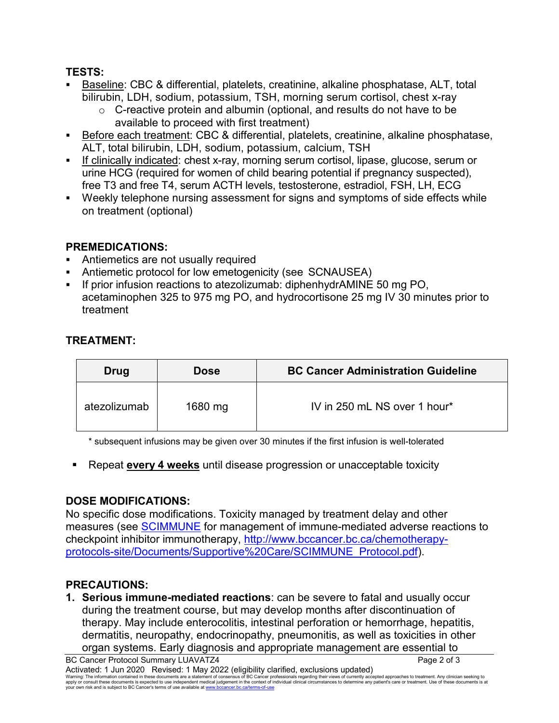### **TESTS:**

- Baseline: CBC & differential, platelets, creatinine, alkaline phosphatase, ALT, total bilirubin, LDH, sodium, potassium, TSH, morning serum cortisol, chest x-ray
	- $\circ$  C-reactive protein and albumin (optional, and results do not have to be available to proceed with first treatment)
- Before each treatment: CBC & differential, platelets, creatinine, alkaline phosphatase, ALT, total bilirubin, LDH, sodium, potassium, calcium, TSH
- If clinically indicated: chest x-ray, morning serum cortisol, lipase, glucose, serum or urine HCG (required for women of child bearing potential if pregnancy suspected), free T3 and free T4, serum ACTH levels, testosterone, estradiol, FSH, LH, ECG
- Weekly telephone nursing assessment for signs and symptoms of side effects while on treatment (optional)

# **PREMEDICATIONS:**

- Antiemetics are not usually required
- Antiemetic protocol for low emetogenicity (see SCNAUSEA)
- If prior infusion reactions to atezolizumab: diphenhydrAMINE 50 mg PO, acetaminophen 325 to 975 mg PO, and hydrocortisone 25 mg IV 30 minutes prior to treatment

# **TREATMENT:**

| Drug         | <b>Dose</b> | <b>BC Cancer Administration Guideline</b> |
|--------------|-------------|-------------------------------------------|
| atezolizumab | 1680 mg     | IV in 250 mL NS over 1 hour*              |

\* subsequent infusions may be given over 30 minutes if the first infusion is well-tolerated

Repeat **every 4 weeks** until disease progression or unacceptable toxicity

# **DOSE MODIFICATIONS:**

No specific dose modifications. Toxicity managed by treatment delay and other measures (see [SCIMMUNE](http://www.bccancer.bc.ca/chemotherapy-protocols-site/Documents/Supportive%20Care/SCIMMUNE_Protocol.pdf) for management of immune-mediated adverse reactions to checkpoint inhibitor immunotherapy, [http://www.bccancer.bc.ca/chemotherapy](http://www.bccancer.bc.ca/chemotherapy-protocols-site/Documents/Supportive%20Care/SCIMMUNE_Protocol.pdf)[protocols-site/Documents/Supportive%20Care/SCIMMUNE\\_Protocol.pdf\)](http://www.bccancer.bc.ca/chemotherapy-protocols-site/Documents/Supportive%20Care/SCIMMUNE_Protocol.pdf).

# **PRECAUTIONS:**

**1. Serious immune-mediated reactions**: can be severe to fatal and usually occur during the treatment course, but may develop months after discontinuation of therapy. May include enterocolitis, intestinal perforation or hemorrhage, hepatitis, dermatitis, neuropathy, endocrinopathy, pneumonitis, as well as toxicities in other organ systems. Early diagnosis and appropriate management are essential to

BC Cancer Protocol Summary LUAVATZ4 **Page 2 of 3** Page 2 of 3 Activated: 1 Jun 2020 Revised: 1 May 2022 (eligibility clarified, exclusions updated)

Waming: The information contained in these documents are a statement of consensus of BC Cancer professionals regarding their views of currently accepted approaches to treatment. Any clinicial sexpected by the sector of the your own risk and is subject to BC Cancer's terms of use available at www.